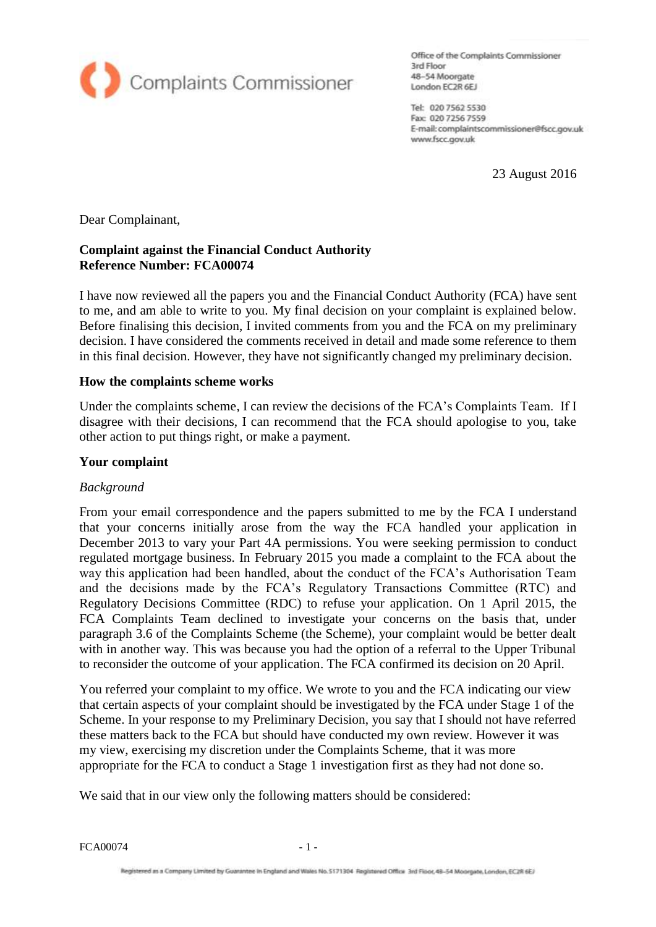

Office of the Complaints Commissioner 3rd Floor 48-54 Moorgate 48–54 Moorgate<br>London EC2R 6EJ

Tel: 020 7562 5530 Fax: 020 7256 7559 E-mail: complaintscommissioner@fscc.gov.uk www.fscc.gov.uk

23 August 2016

Dear Complainant,

## **Complaint against the Financial Conduct Authority Reference Number: FCA00074**

I have now reviewed all the papers you and the Financial Conduct Authority (FCA) have sent to me, and am able to write to you. My final decision on your complaint is explained below. Before finalising this decision, I invited comments from you and the FCA on my preliminary decision. I have considered the comments received in detail and made some reference to them in this final decision. However, they have not significantly changed my preliminary decision.

#### **How the complaints scheme works**

Under the complaints scheme, I can review the decisions of the FCA's Complaints Team. If I disagree with their decisions, I can recommend that the FCA should apologise to you, take other action to put things right, or make a payment.

#### **Your complaint**

#### *Background*

From your email correspondence and the papers submitted to me by the FCA I understand that your concerns initially arose from the way the FCA handled your application in December 2013 to vary your Part 4A permissions. You were seeking permission to conduct regulated mortgage business. In February 2015 you made a complaint to the FCA about the way this application had been handled, about the conduct of the FCA's Authorisation Team and the decisions made by the FCA's Regulatory Transactions Committee (RTC) and Regulatory Decisions Committee (RDC) to refuse your application. On 1 April 2015, the FCA Complaints Team declined to investigate your concerns on the basis that, under paragraph 3.6 of the Complaints Scheme (the Scheme), your complaint would be better dealt with in another way. This was because you had the option of a referral to the Upper Tribunal to reconsider the outcome of your application. The FCA confirmed its decision on 20 April.

You referred your complaint to my office. We wrote to you and the FCA indicating our view that certain aspects of your complaint should be investigated by the FCA under Stage 1 of the Scheme. In your response to my Preliminary Decision, you say that I should not have referred these matters back to the FCA but should have conducted my own review. However it was my view, exercising my discretion under the Complaints Scheme, that it was more appropriate for the FCA to conduct a Stage 1 investigation first as they had not done so.

We said that in our view only the following matters should be considered:

 $FCA00074$  - 1 -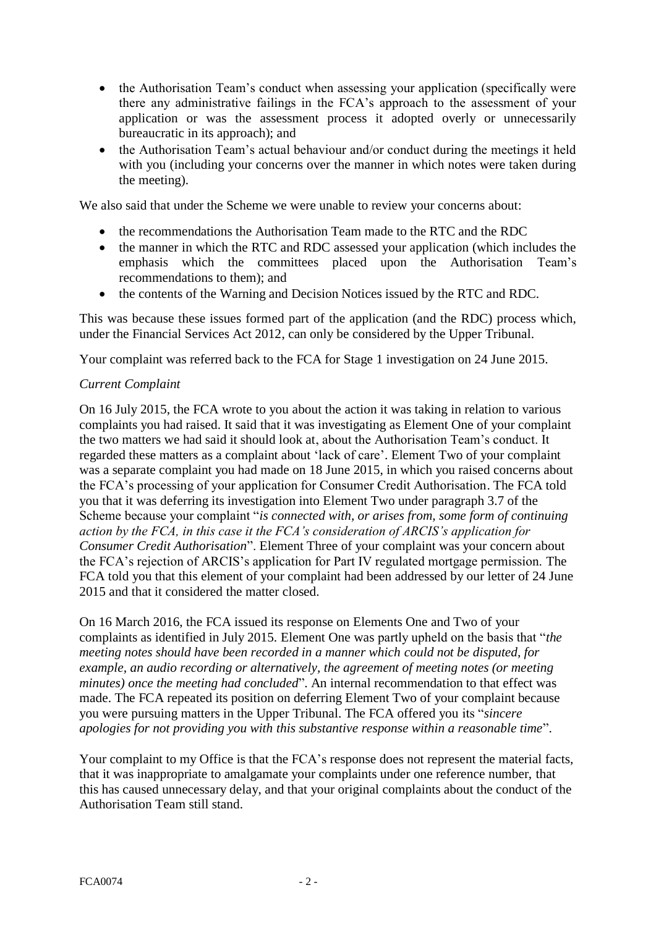- the Authorisation Team's conduct when assessing your application (specifically were there any administrative failings in the FCA's approach to the assessment of your application or was the assessment process it adopted overly or unnecessarily bureaucratic in its approach); and
- the Authorisation Team's actual behaviour and/or conduct during the meetings it held with you (including your concerns over the manner in which notes were taken during the meeting).

We also said that under the Scheme we were unable to review your concerns about:

- the recommendations the Authorisation Team made to the RTC and the RDC
- the manner in which the RTC and RDC assessed your application (which includes the emphasis which the committees placed upon the Authorisation Team's recommendations to them); and
- the contents of the Warning and Decision Notices issued by the RTC and RDC.

This was because these issues formed part of the application (and the RDC) process which, under the Financial Services Act 2012, can only be considered by the Upper Tribunal.

Your complaint was referred back to the FCA for Stage 1 investigation on 24 June 2015.

## *Current Complaint*

On 16 July 2015, the FCA wrote to you about the action it was taking in relation to various complaints you had raised. It said that it was investigating as Element One of your complaint the two matters we had said it should look at, about the Authorisation Team's conduct. It regarded these matters as a complaint about 'lack of care'. Element Two of your complaint was a separate complaint you had made on 18 June 2015, in which you raised concerns about the FCA's processing of your application for Consumer Credit Authorisation. The FCA told you that it was deferring its investigation into Element Two under paragraph 3.7 of the Scheme because your complaint "*is connected with, or arises from, some form of continuing action by the FCA, in this case it the FCA's consideration of ARCIS's application for Consumer Credit Authorisation*". Element Three of your complaint was your concern about the FCA's rejection of ARCIS's application for Part IV regulated mortgage permission. The FCA told you that this element of your complaint had been addressed by our letter of 24 June 2015 and that it considered the matter closed.

On 16 March 2016, the FCA issued its response on Elements One and Two of your complaints as identified in July 2015. Element One was partly upheld on the basis that "*the meeting notes should have been recorded in a manner which could not be disputed, for example, an audio recording or alternatively, the agreement of meeting notes (or meeting minutes) once the meeting had concluded*". An internal recommendation to that effect was made. The FCA repeated its position on deferring Element Two of your complaint because you were pursuing matters in the Upper Tribunal. The FCA offered you its "*sincere apologies for not providing you with this substantive response within a reasonable time*".

Your complaint to my Office is that the FCA's response does not represent the material facts, that it was inappropriate to amalgamate your complaints under one reference number, that this has caused unnecessary delay, and that your original complaints about the conduct of the Authorisation Team still stand.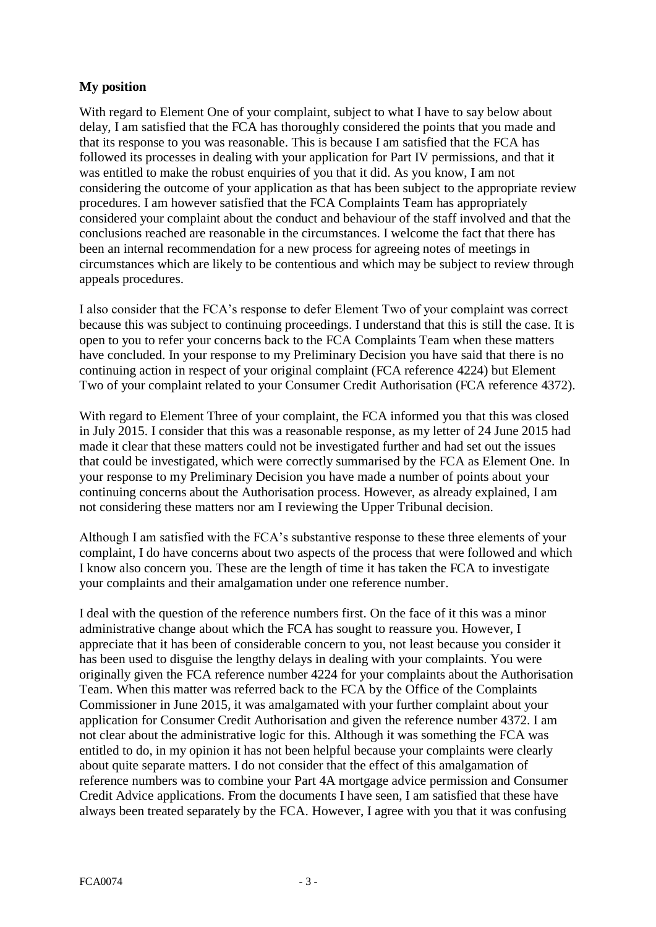# **My position**

With regard to Element One of your complaint, subject to what I have to say below about delay, I am satisfied that the FCA has thoroughly considered the points that you made and that its response to you was reasonable. This is because I am satisfied that the FCA has followed its processes in dealing with your application for Part IV permissions, and that it was entitled to make the robust enquiries of you that it did. As you know, I am not considering the outcome of your application as that has been subject to the appropriate review procedures. I am however satisfied that the FCA Complaints Team has appropriately considered your complaint about the conduct and behaviour of the staff involved and that the conclusions reached are reasonable in the circumstances. I welcome the fact that there has been an internal recommendation for a new process for agreeing notes of meetings in circumstances which are likely to be contentious and which may be subject to review through appeals procedures.

I also consider that the FCA's response to defer Element Two of your complaint was correct because this was subject to continuing proceedings. I understand that this is still the case. It is open to you to refer your concerns back to the FCA Complaints Team when these matters have concluded. In your response to my Preliminary Decision you have said that there is no continuing action in respect of your original complaint (FCA reference 4224) but Element Two of your complaint related to your Consumer Credit Authorisation (FCA reference 4372).

With regard to Element Three of your complaint, the FCA informed you that this was closed in July 2015. I consider that this was a reasonable response, as my letter of 24 June 2015 had made it clear that these matters could not be investigated further and had set out the issues that could be investigated, which were correctly summarised by the FCA as Element One. In your response to my Preliminary Decision you have made a number of points about your continuing concerns about the Authorisation process. However, as already explained, I am not considering these matters nor am I reviewing the Upper Tribunal decision.

Although I am satisfied with the FCA's substantive response to these three elements of your complaint, I do have concerns about two aspects of the process that were followed and which I know also concern you. These are the length of time it has taken the FCA to investigate your complaints and their amalgamation under one reference number.

I deal with the question of the reference numbers first. On the face of it this was a minor administrative change about which the FCA has sought to reassure you. However, I appreciate that it has been of considerable concern to you, not least because you consider it has been used to disguise the lengthy delays in dealing with your complaints. You were originally given the FCA reference number 4224 for your complaints about the Authorisation Team. When this matter was referred back to the FCA by the Office of the Complaints Commissioner in June 2015, it was amalgamated with your further complaint about your application for Consumer Credit Authorisation and given the reference number 4372. I am not clear about the administrative logic for this. Although it was something the FCA was entitled to do, in my opinion it has not been helpful because your complaints were clearly about quite separate matters. I do not consider that the effect of this amalgamation of reference numbers was to combine your Part 4A mortgage advice permission and Consumer Credit Advice applications. From the documents I have seen, I am satisfied that these have always been treated separately by the FCA. However, I agree with you that it was confusing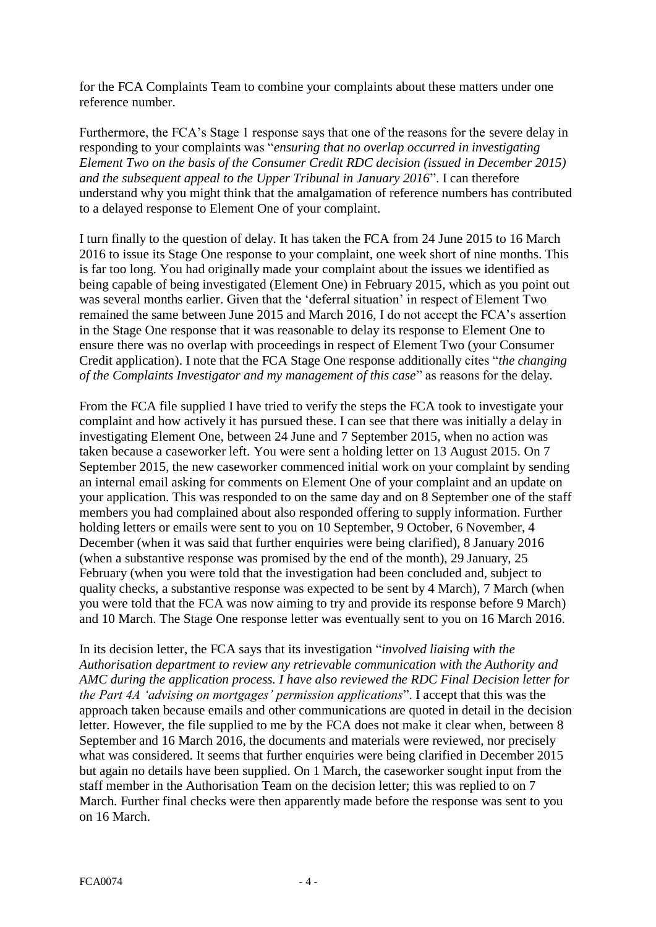for the FCA Complaints Team to combine your complaints about these matters under one reference number.

Furthermore, the FCA's Stage 1 response says that one of the reasons for the severe delay in responding to your complaints was "*ensuring that no overlap occurred in investigating Element Two on the basis of the Consumer Credit RDC decision (issued in December 2015) and the subsequent appeal to the Upper Tribunal in January 2016*". I can therefore understand why you might think that the amalgamation of reference numbers has contributed to a delayed response to Element One of your complaint.

I turn finally to the question of delay. It has taken the FCA from 24 June 2015 to 16 March 2016 to issue its Stage One response to your complaint, one week short of nine months. This is far too long. You had originally made your complaint about the issues we identified as being capable of being investigated (Element One) in February 2015, which as you point out was several months earlier. Given that the 'deferral situation' in respect of Element Two remained the same between June 2015 and March 2016, I do not accept the FCA's assertion in the Stage One response that it was reasonable to delay its response to Element One to ensure there was no overlap with proceedings in respect of Element Two (your Consumer Credit application). I note that the FCA Stage One response additionally cites "*the changing of the Complaints Investigator and my management of this case*" as reasons for the delay.

From the FCA file supplied I have tried to verify the steps the FCA took to investigate your complaint and how actively it has pursued these. I can see that there was initially a delay in investigating Element One, between 24 June and 7 September 2015, when no action was taken because a caseworker left. You were sent a holding letter on 13 August 2015. On 7 September 2015, the new caseworker commenced initial work on your complaint by sending an internal email asking for comments on Element One of your complaint and an update on your application. This was responded to on the same day and on 8 September one of the staff members you had complained about also responded offering to supply information. Further holding letters or emails were sent to you on 10 September, 9 October, 6 November, 4 December (when it was said that further enquiries were being clarified), 8 January 2016 (when a substantive response was promised by the end of the month), 29 January, 25 February (when you were told that the investigation had been concluded and, subject to quality checks, a substantive response was expected to be sent by 4 March), 7 March (when you were told that the FCA was now aiming to try and provide its response before 9 March) and 10 March. The Stage One response letter was eventually sent to you on 16 March 2016.

In its decision letter, the FCA says that its investigation "*involved liaising with the Authorisation department to review any retrievable communication with the Authority and AMC during the application process. I have also reviewed the RDC Final Decision letter for the Part 4A 'advising on mortgages' permission applications*". I accept that this was the approach taken because emails and other communications are quoted in detail in the decision letter. However, the file supplied to me by the FCA does not make it clear when, between 8 September and 16 March 2016, the documents and materials were reviewed, nor precisely what was considered. It seems that further enquiries were being clarified in December 2015 but again no details have been supplied. On 1 March, the caseworker sought input from the staff member in the Authorisation Team on the decision letter; this was replied to on 7 March. Further final checks were then apparently made before the response was sent to you on 16 March.